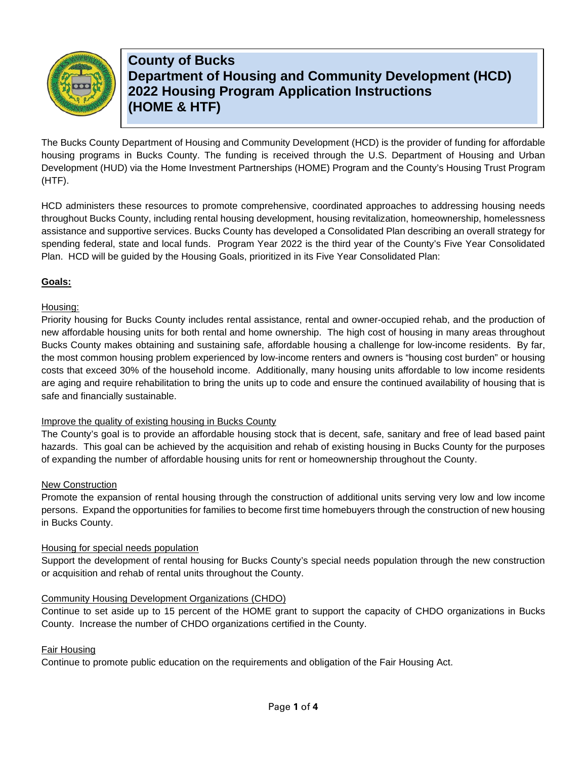

**County of Bucks Department of Housing and Community Development (HCD) 2022 Housing Program Application Instructions (HOME & HTF)**

The Bucks County Department of Housing and Community Development (HCD) is the provider of funding for affordable housing programs in Bucks County. The funding is received through the U.S. Department of Housing and Urban Development (HUD) via the Home Investment Partnerships (HOME) Program and the County's Housing Trust Program (HTF).

HCD administers these resources to promote comprehensive, coordinated approaches to addressing housing needs throughout Bucks County, including rental housing development, housing revitalization, homeownership, homelessness assistance and supportive services. Bucks County has developed a Consolidated Plan describing an overall strategy for spending federal, state and local funds. Program Year 2022 is the third year of the County's Five Year Consolidated Plan. HCD will be guided by the Housing Goals, prioritized in its Five Year Consolidated Plan:

### **Goals:**

#### Housing:

Priority housing for Bucks County includes rental assistance, rental and owner-occupied rehab, and the production of new affordable housing units for both rental and home ownership. The high cost of housing in many areas throughout Bucks County makes obtaining and sustaining safe, affordable housing a challenge for low-income residents. By far, the most common housing problem experienced by low-income renters and owners is "housing cost burden" or housing costs that exceed 30% of the household income. Additionally, many housing units affordable to low income residents are aging and require rehabilitation to bring the units up to code and ensure the continued availability of housing that is safe and financially sustainable.

### Improve the quality of existing housing in Bucks County

The County's goal is to provide an affordable housing stock that is decent, safe, sanitary and free of lead based paint hazards. This goal can be achieved by the acquisition and rehab of existing housing in Bucks County for the purposes of expanding the number of affordable housing units for rent or homeownership throughout the County.

#### New Construction

Promote the expansion of rental housing through the construction of additional units serving very low and low income persons. Expand the opportunities for families to become first time homebuyers through the construction of new housing in Bucks County.

#### Housing for special needs population

Support the development of rental housing for Bucks County's special needs population through the new construction or acquisition and rehab of rental units throughout the County.

#### Community Housing Development Organizations (CHDO)

Continue to set aside up to 15 percent of the HOME grant to support the capacity of CHDO organizations in Bucks County. Increase the number of CHDO organizations certified in the County.

#### Fair Housing

Continue to promote public education on the requirements and obligation of the Fair Housing Act.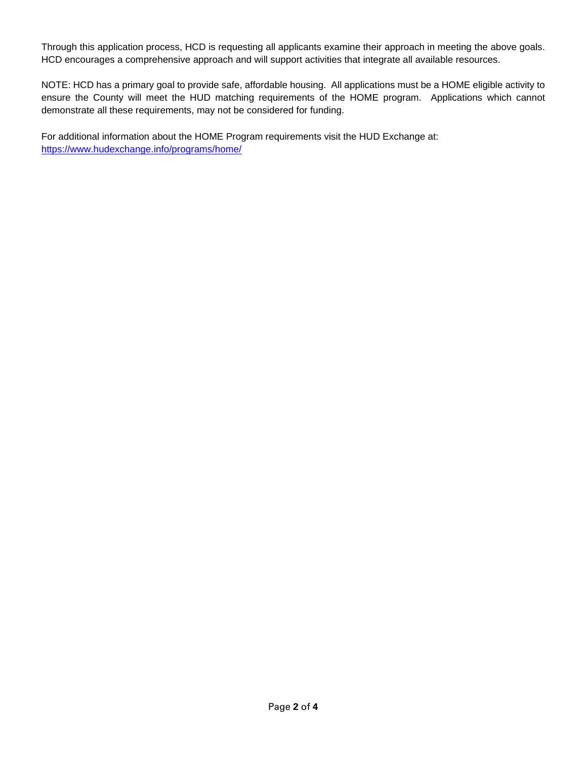Through this application process, HCD is requesting all applicants examine their approach in meeting the above goals. HCD encourages a comprehensive approach and will support activities that integrate all available resources.

NOTE: HCD has a primary goal to provide safe, affordable housing. All applications must be a HOME eligible activity to ensure the County will meet the HUD matching requirements of the HOME program. Applications which cannot demonstrate all these requirements, may not be considered for funding.

For additional information about the HOME Program requirements visit the HUD Exchange at: <https://www.hudexchange.info/programs/home/>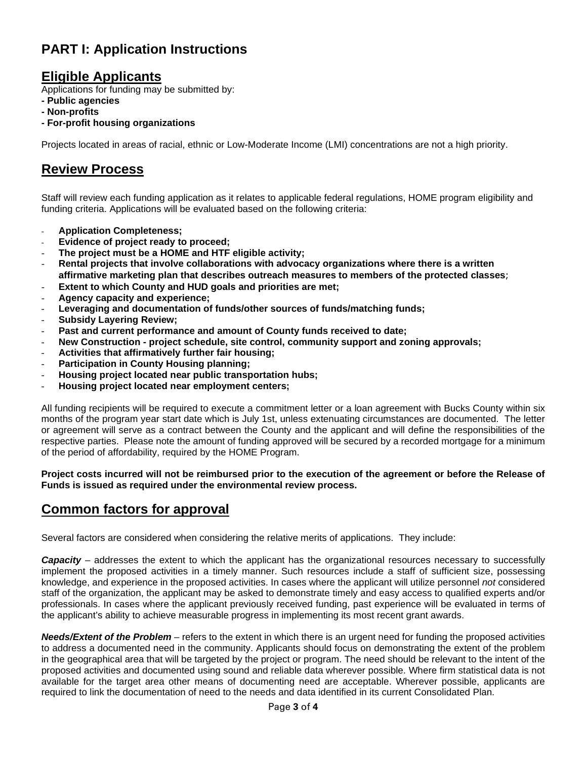# **PART I: Application Instructions**

### **Eligible Applicants**

Applications for funding may be submitted by:

- **- Public agencies**
- **- Non-profits**
- **- For-profit housing organizations**

Projects located in areas of racial, ethnic or Low-Moderate Income (LMI) concentrations are not a high priority.

# **Review Process**

Staff will review each funding application as it relates to applicable federal regulations, HOME program eligibility and funding criteria. Applications will be evaluated based on the following criteria:

- **Application Completeness;**
- **Evidence of project ready to proceed;**
- **The project must be a HOME and HTF eligible activity;**
- **Rental projects that involve collaborations with advocacy organizations where there is a written affirmative marketing plan that describes outreach measures to members of the protected classes**;
- **Extent to which County and HUD goals and priorities are met;**
- **Agency capacity and experience;**
- Leveraging and documentation of funds/other sources of funds/matching funds;
- **Subsidy Layering Review;**
- **Past and current performance and amount of County funds received to date;**
- **New Construction - project schedule, site control, community support and zoning approvals;**
- **Activities that affirmatively further fair housing;**
- **Participation in County Housing planning;**
- **Housing project located near public transportation hubs;**
- **Housing project located near employment centers;**

All funding recipients will be required to execute a commitment letter or a loan agreement with Bucks County within six months of the program year start date which is July 1st, unless extenuating circumstances are documented. The letter or agreement will serve as a contract between the County and the applicant and will define the responsibilities of the respective parties. Please note the amount of funding approved will be secured by a recorded mortgage for a minimum of the period of affordability, required by the HOME Program.

**Project costs incurred will not be reimbursed prior to the execution of the agreement or before the Release of Funds is issued as required under the environmental review process.**

# **Common factors for approval**

Several factors are considered when considering the relative merits of applications. They include:

*Capacity –* addresses the extent to which the applicant has the organizational resources necessary to successfully implement the proposed activities in a timely manner. Such resources include a staff of sufficient size, possessing knowledge, and experience in the proposed activities. In cases where the applicant will utilize personnel *not* considered staff of the organization, the applicant may be asked to demonstrate timely and easy access to qualified experts and/or professionals. In cases where the applicant previously received funding, past experience will be evaluated in terms of the applicant's ability to achieve measurable progress in implementing its most recent grant awards.

*Needs/Extent of the Problem –* refers to the extent in which there is an urgent need for funding the proposed activities to address a documented need in the community. Applicants should focus on demonstrating the extent of the problem in the geographical area that will be targeted by the project or program. The need should be relevant to the intent of the proposed activities and documented using sound and reliable data wherever possible. Where firm statistical data is not available for the target area other means of documenting need are acceptable. Wherever possible, applicants are required to link the documentation of need to the needs and data identified in its current Consolidated Plan.